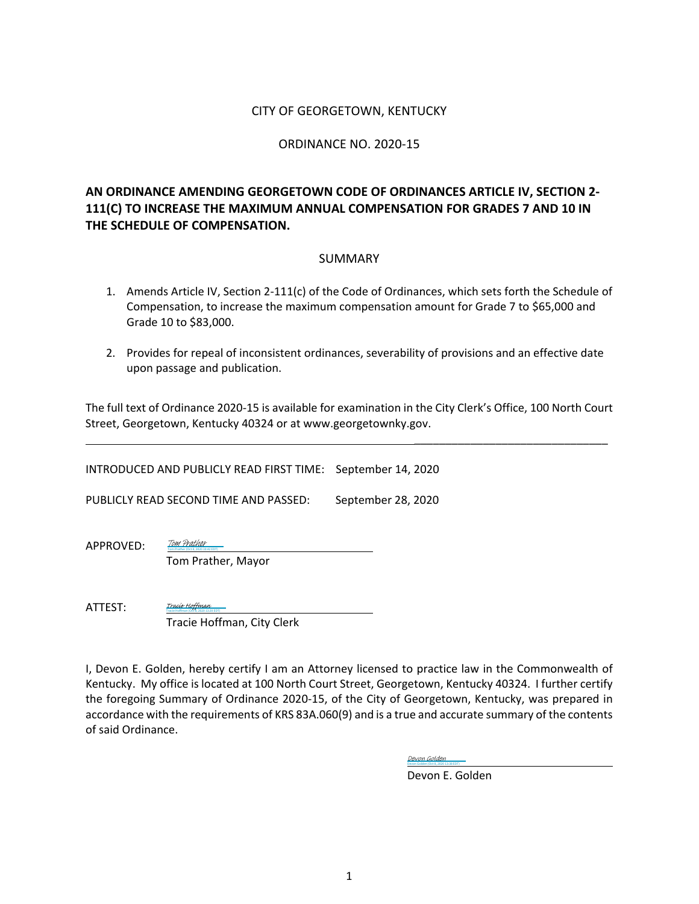#### CITY OF GEORGETOWN, KENTUCKY

#### ORDINANCE NO. 2020-15

# **AN ORDINANCE AMENDING GEORGETOWN CODE OF ORDINANCES ARTICLE IV, SECTION 2- 111(C) TO INCREASE THE MAXIMUM ANNUAL COMPENSATION FOR GRADES 7 AND 10 IN THE SCHEDULE OF COMPENSATION.**

#### SUMMARY

- 1. Amends Article IV, Section 2-111(c) of the Code of Ordinances, which sets forth the Schedule of Compensation, to increase the maximum compensation amount for Grade 7 to \$65,000 and Grade 10 to \$83,000.
- 2. Provides for repeal of inconsistent ordinances, severability of provisions and an effective date upon passage and publication.

The full text of Ordinance 2020-15 is available for examination in the City Clerk's Office, 100 North Court Street, Georgetown, Kentucky 40324 or at www.georgetownky.gov.

INTRODUCED AND PUBLICLY READ FIRST TIME: September 14, 2020

PUBLICLY READ SECOND TIME AND PASSED: September 28, 2020

APPROVED:

Tom Prather, Mayor

Tom Prather (Oct 8, 2020 10:42 EDT) [Tom Prather](https://na1.documents.adobe.com/verifier?tx=CBJCHBCAABAA960sij33R3HHKgaGLUQeJfSYkK_1IEtj)

ATTEST: Tracie Hoffman (Oct 8, 2020 13:20 EDT) [Tracie Hoffman](https://na1.documents.adobe.com/verifier?tx=CBJCHBCAABAA960sij33R3HHKgaGLUQeJfSYkK_1IEtj)

Tracie Hoffman, City Clerk

I, Devon E. Golden, hereby certify I am an Attorney licensed to practice law in the Commonwealth of Kentucky. My office is located at 100 North Court Street, Georgetown, Kentucky 40324. I further certify the foregoing Summary of Ordinance 2020-15, of the City of Georgetown, Kentucky, was prepared in accordance with the requirements of KRS 83A.060(9) and is a true and accurate summary of the contents of said Ordinance.

> Devon Golden (Oct 8, 2020 13:38 EDT) [Devon Golden](https://na1.documents.adobe.com/verifier?tx=CBJCHBCAABAA960sij33R3HHKgaGLUQeJfSYkK_1IEtj)

Devon E. Golden

\_\_\_\_\_\_\_\_\_\_\_\_\_\_\_\_\_\_\_\_\_\_\_\_\_\_\_\_\_\_\_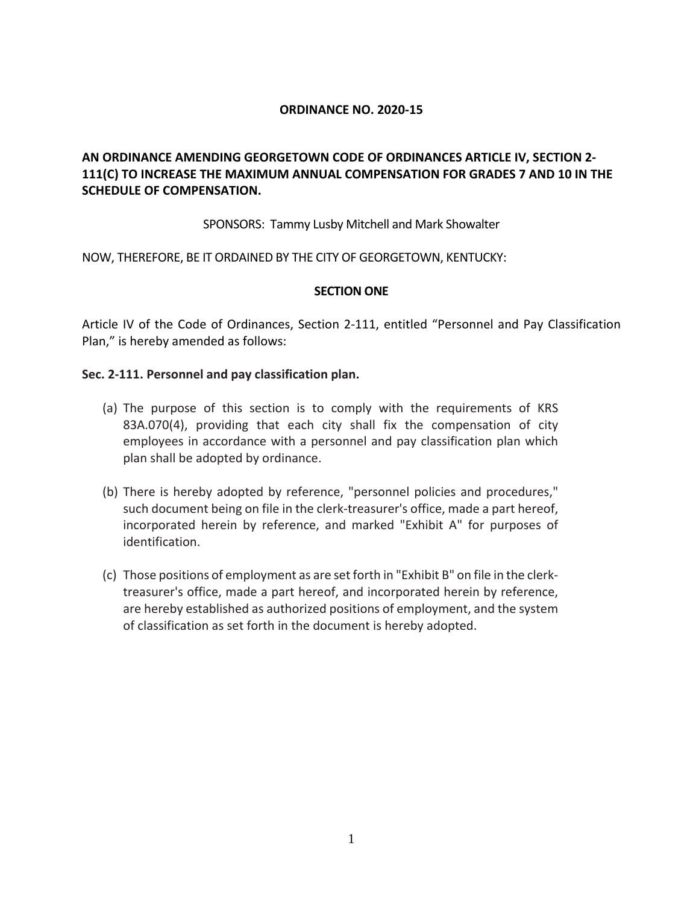#### **ORDINANCE NO. 2020-15**

# **AN ORDINANCE AMENDING GEORGETOWN CODE OF ORDINANCES ARTICLE IV, SECTION 2- 111(C) TO INCREASE THE MAXIMUM ANNUAL COMPENSATION FOR GRADES 7 AND 10 IN THE SCHEDULE OF COMPENSATION.**

#### SPONSORS: Tammy Lusby Mitchell and Mark Showalter

NOW, THEREFORE, BE IT ORDAINED BY THE CITY OF GEORGETOWN, KENTUCKY:

#### **SECTION ONE**

Article IV of the Code of Ordinances, Section 2-111, entitled "Personnel and Pay Classification Plan," is hereby amended as follows:

#### **Sec. 2-111. Personnel and pay classification plan.**

- (a) The purpose of this section is to comply with the requirements of KRS 83A.070(4), providing that each city shall fix the compensation of city employees in accordance with a personnel and pay classification plan which plan shall be adopted by ordinance.
- (b) There is hereby adopted by reference, "personnel policies and procedures," such document being on file in the clerk-treasurer's office, made a part hereof, incorporated herein by reference, and marked "Exhibit A" for purposes of identification.
- (c) Those positions of employment as are set forth in "Exhibit B" on file in the clerktreasurer's office, made a part hereof, and incorporated herein by reference, are hereby established as authorized positions of employment, and the system of classification as set forth in the document is hereby adopted.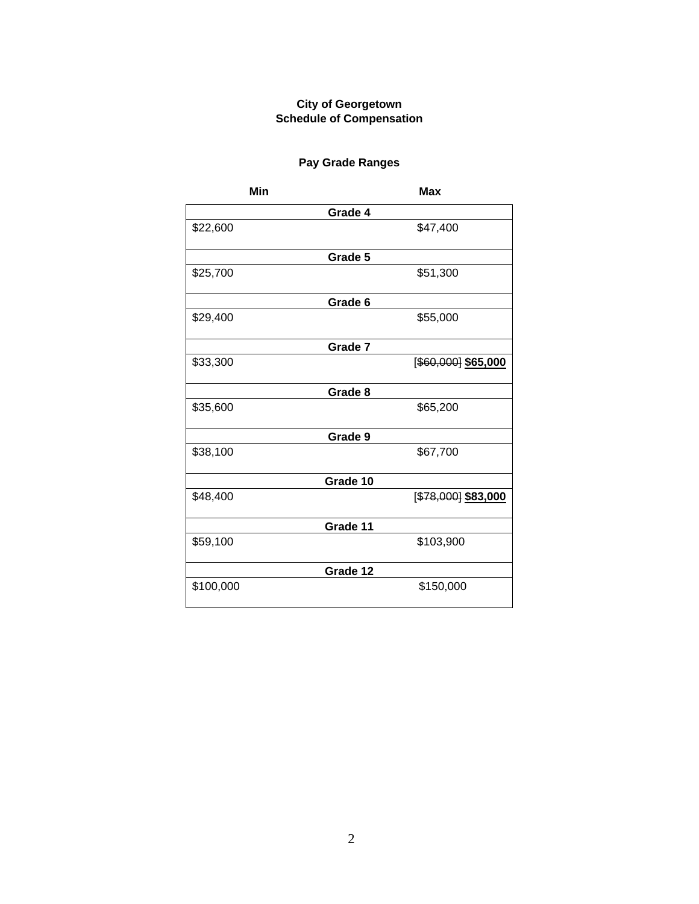## **City of Georgetown Schedule of Compensation**

# **Pay Grade Ranges**

| Min       |          | <b>Max</b>             |
|-----------|----------|------------------------|
|           | Grade 4  |                        |
| \$22,600  |          | \$47,400               |
|           | Grade 5  |                        |
| \$25,700  |          | \$51,300               |
|           | Grade 6  |                        |
| \$29,400  |          | \$55,000               |
|           | Grade 7  |                        |
| \$33,300  |          | $[$ \$60,000] \$65,000 |
|           | Grade 8  |                        |
| \$35,600  |          | \$65,200               |
|           | Grade 9  |                        |
| \$38,100  |          | \$67,700               |
|           | Grade 10 |                        |
| \$48,400  |          | [\$78,000] \$83,000    |
|           | Grade 11 |                        |
| \$59,100  |          | \$103,900              |
|           | Grade 12 |                        |
| \$100,000 |          | \$150,000              |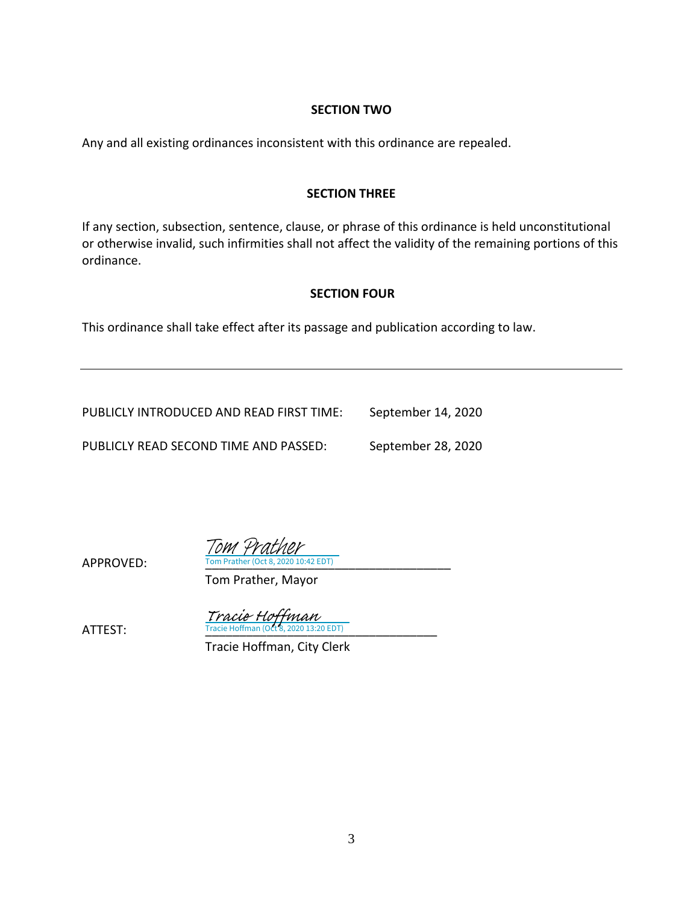#### **SECTION TWO**

Any and all existing ordinances inconsistent with this ordinance are repealed.

#### **SECTION THREE**

If any section, subsection, sentence, clause, or phrase of this ordinance is held unconstitutional or otherwise invalid, such infirmities shall not affect the validity of the remaining portions of this ordinance.

## **SECTION FOUR**

This ordinance shall take effect after its passage and publication according to law.

PUBLICLY INTRODUCED AND READ FIRST TIME: September 14, 2020 PUBLICLY READ SECOND TIME AND PASSED: September 28, 2020

APPROVED: Tom Prather (Oct 8, 2020 10:42 EDT) Tom Prather

Tom Prather, Mayor

**ATTEST:** Tracie Hoffman (Oct 8, 2020 13:20 EDT) Tracie Hoffman

Tracie Hoffman, City Clerk